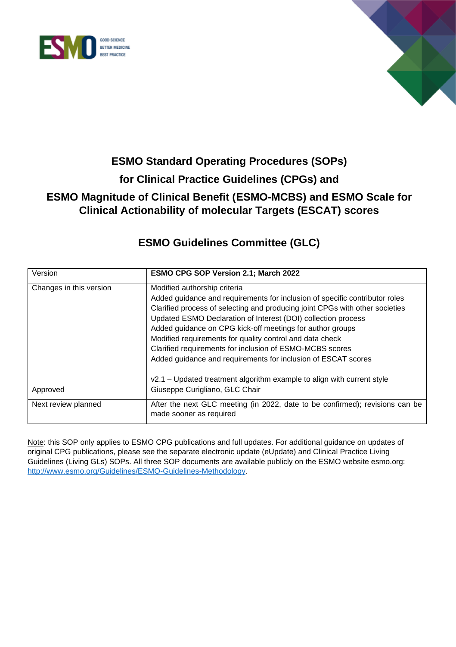



# **ESMO Standard Operating Procedures (SOPs) for Clinical Practice Guidelines (CPGs) and ESMO Magnitude of Clinical Benefit (ESMO-MCBS) and ESMO Scale for Clinical Actionability of molecular Targets (ESCAT) scores**

# **ESMO Guidelines Committee (GLC)**

| Version                                    | <b>ESMO CPG SOP Version 2.1; March 2022</b>                                                                                                                                                                                                                                                                                                                                                                                                                                                                                                                                                  |
|--------------------------------------------|----------------------------------------------------------------------------------------------------------------------------------------------------------------------------------------------------------------------------------------------------------------------------------------------------------------------------------------------------------------------------------------------------------------------------------------------------------------------------------------------------------------------------------------------------------------------------------------------|
| Changes in this version                    | Modified authorship criteria<br>Added guidance and requirements for inclusion of specific contributor roles<br>Clarified process of selecting and producing joint CPGs with other societies<br>Updated ESMO Declaration of Interest (DOI) collection process<br>Added guidance on CPG kick-off meetings for author groups<br>Modified requirements for quality control and data check<br>Clarified requirements for inclusion of ESMO-MCBS scores<br>Added guidance and requirements for inclusion of ESCAT scores<br>v2.1 – Updated treatment algorithm example to align with current style |
| Giuseppe Curigliano, GLC Chair<br>Approved |                                                                                                                                                                                                                                                                                                                                                                                                                                                                                                                                                                                              |
| Next review planned                        | After the next GLC meeting (in 2022, date to be confirmed); revisions can be<br>made sooner as required                                                                                                                                                                                                                                                                                                                                                                                                                                                                                      |

Note: this SOP only applies to ESMO CPG publications and full updates. For additional guidance on updates of original CPG publications, please see the separate electronic update (eUpdate) and Clinical Practice Living Guidelines (Living GLs) SOPs. All three SOP documents are available publicly on the ESMO website esmo.org: [http://www.esmo.org/Guidelines/ESMO-Guidelines-Methodology.](http://www.esmo.org/Guidelines/ESMO-Guidelines-Methodology)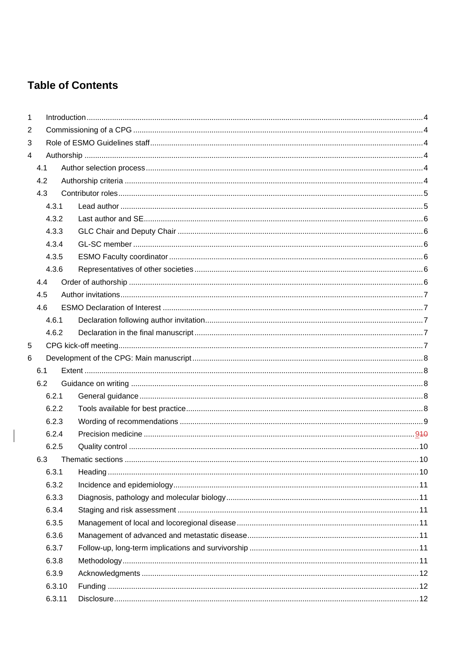# **Table of Contents**

 $\begin{array}{c} \hline \end{array}$ 

| 1 |                |        |  |  |  |  |  |  |  |
|---|----------------|--------|--|--|--|--|--|--|--|
| 2 |                |        |  |  |  |  |  |  |  |
| 3 |                |        |  |  |  |  |  |  |  |
| 4 |                |        |  |  |  |  |  |  |  |
|   | 4.1            |        |  |  |  |  |  |  |  |
|   | 4.2            |        |  |  |  |  |  |  |  |
|   | 4.3            |        |  |  |  |  |  |  |  |
|   |                | 4.3.1  |  |  |  |  |  |  |  |
|   |                | 4.3.2  |  |  |  |  |  |  |  |
|   |                | 4.3.3  |  |  |  |  |  |  |  |
|   |                | 4.3.4  |  |  |  |  |  |  |  |
|   |                | 4.3.5  |  |  |  |  |  |  |  |
|   |                | 4.3.6  |  |  |  |  |  |  |  |
|   | 4.4            |        |  |  |  |  |  |  |  |
|   | 4.5            |        |  |  |  |  |  |  |  |
|   | 4.6            |        |  |  |  |  |  |  |  |
|   |                | 4.6.1  |  |  |  |  |  |  |  |
|   |                | 4.6.2  |  |  |  |  |  |  |  |
| 5 |                |        |  |  |  |  |  |  |  |
| 6 |                |        |  |  |  |  |  |  |  |
|   | 6.1            |        |  |  |  |  |  |  |  |
|   | 6.2            |        |  |  |  |  |  |  |  |
|   |                | 6.2.1  |  |  |  |  |  |  |  |
|   |                | 6.2.2  |  |  |  |  |  |  |  |
|   |                | 6.2.3  |  |  |  |  |  |  |  |
|   |                | 6.2.4  |  |  |  |  |  |  |  |
|   |                | 6.2.5  |  |  |  |  |  |  |  |
|   | 6.3            |        |  |  |  |  |  |  |  |
|   |                | 6.3.1  |  |  |  |  |  |  |  |
|   |                | 6.3.2  |  |  |  |  |  |  |  |
|   |                | 6.3.3  |  |  |  |  |  |  |  |
|   | 6.3.4<br>6.3.5 |        |  |  |  |  |  |  |  |
|   |                |        |  |  |  |  |  |  |  |
|   |                | 6.3.6  |  |  |  |  |  |  |  |
|   |                | 6.3.7  |  |  |  |  |  |  |  |
|   |                | 6.3.8  |  |  |  |  |  |  |  |
|   |                | 6.3.9  |  |  |  |  |  |  |  |
|   |                | 6.3.10 |  |  |  |  |  |  |  |
|   |                | 6.3.11 |  |  |  |  |  |  |  |
|   |                |        |  |  |  |  |  |  |  |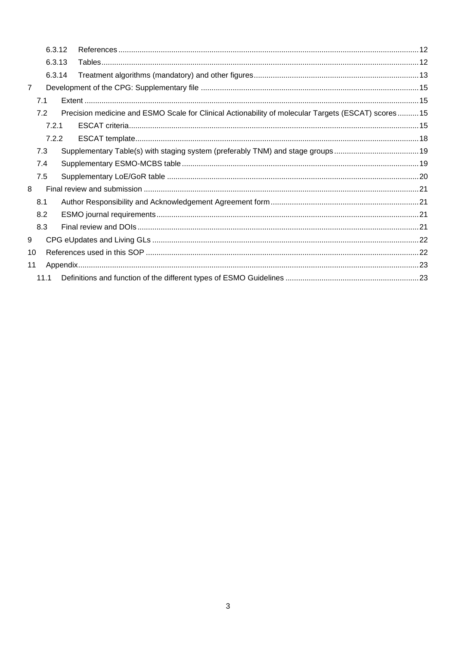|                | 6.3.12 |  |                                                                                                    |  |
|----------------|--------|--|----------------------------------------------------------------------------------------------------|--|
| 6.3.13         |        |  |                                                                                                    |  |
|                | 6.3.14 |  |                                                                                                    |  |
| $\overline{7}$ |        |  |                                                                                                    |  |
|                | 7.1    |  |                                                                                                    |  |
|                | 7.2    |  | Precision medicine and ESMO Scale for Clinical Actionability of molecular Targets (ESCAT) scores15 |  |
|                | 7.2.1  |  |                                                                                                    |  |
|                | 7.2.2  |  |                                                                                                    |  |
|                | 7.3    |  | Supplementary Table(s) with staging system (preferably TNM) and stage groups19                     |  |
|                | 7.4    |  |                                                                                                    |  |
|                | 7.5    |  |                                                                                                    |  |
| 8              |        |  |                                                                                                    |  |
|                | 8.1    |  |                                                                                                    |  |
|                | 8.2    |  |                                                                                                    |  |
|                | 8.3    |  |                                                                                                    |  |
| 9              |        |  |                                                                                                    |  |
| 10             |        |  |                                                                                                    |  |
| 11             |        |  |                                                                                                    |  |
|                | 11.1   |  |                                                                                                    |  |
|                |        |  |                                                                                                    |  |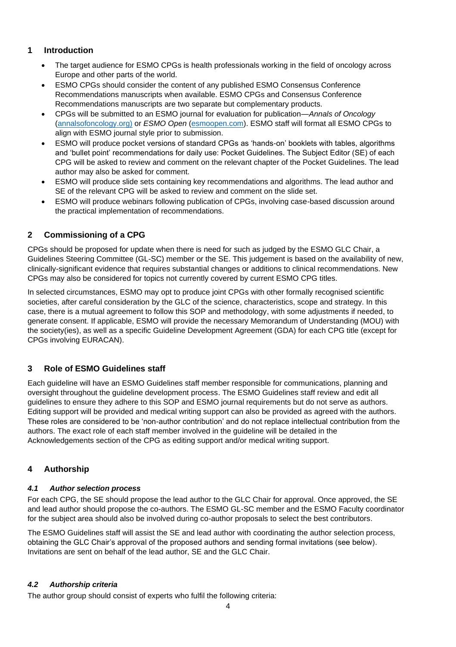# <span id="page-3-0"></span>**1 Introduction**

- The target audience for ESMO CPGs is health professionals working in the field of oncology across Europe and other parts of the world.
- ESMO CPGs should consider the content of any published ESMO Consensus Conference Recommendations manuscripts when available. ESMO CPGs and Consensus Conference Recommendations manuscripts are two separate but complementary products.
- CPGs will be submitted to an ESMO journal for evaluation for publication—*Annals of Oncology* [\(annalsofoncology.org\)](file:///C:/Users/jennifer.lamarre/Downloads/annalsofoncology.org) or *ESMO Open* [\(esmoopen.com\)](http://https/www.esmoopen.com). ESMO staff will format all ESMO CPGs to align with ESMO journal style prior to submission.
- ESMO will produce pocket versions of standard CPGs as 'hands-on' booklets with tables, algorithms and 'bullet point' recommendations for daily use: Pocket Guidelines. The Subject Editor (SE) of each CPG will be asked to review and comment on the relevant chapter of the Pocket Guidelines. The lead author may also be asked for comment.
- ESMO will produce slide sets containing key recommendations and algorithms. The lead author and SE of the relevant CPG will be asked to review and comment on the slide set.
- ESMO will produce webinars following publication of CPGs, involving case-based discussion around the practical implementation of recommendations.

# <span id="page-3-1"></span>**2 Commissioning of a CPG**

CPGs should be proposed for update when there is need for such as judged by the ESMO GLC Chair, a Guidelines Steering Committee (GL-SC) member or the SE. This judgement is based on the availability of new, clinically-significant evidence that requires substantial changes or additions to clinical recommendations. New CPGs may also be considered for topics not currently covered by current ESMO CPG titles.

In selected circumstances, ESMO may opt to produce joint CPGs with other formally recognised scientific societies, after careful consideration by the GLC of the science, characteristics, scope and strategy. In this case, there is a mutual agreement to follow this SOP and methodology, with some adjustments if needed, to generate consent. If applicable, ESMO will provide the necessary Memorandum of Understanding (MOU) with the society(ies), as well as a specific Guideline Development Agreement (GDA) for each CPG title (except for CPGs involving EURACAN).

# <span id="page-3-2"></span>**3 Role of ESMO Guidelines staff**

Each guideline will have an ESMO Guidelines staff member responsible for communications, planning and oversight throughout the guideline development process. The ESMO Guidelines staff review and edit all guidelines to ensure they adhere to this SOP and ESMO journal requirements but do not serve as authors. Editing support will be provided and medical writing support can also be provided as agreed with the authors. These roles are considered to be 'non-author contribution' and do not replace intellectual contribution from the authors. The exact role of each staff member involved in the guideline will be detailed in the Acknowledgements section of the CPG as editing support and/or medical writing support.

## <span id="page-3-3"></span>**4 Authorship**

## <span id="page-3-4"></span>*4.1 Author selection process*

For each CPG, the SE should propose the lead author to the GLC Chair for approval. Once approved, the SE and lead author should propose the co-authors. The ESMO GL-SC member and the ESMO Faculty coordinator for the subject area should also be involved during co-author proposals to select the best contributors.

The ESMO Guidelines staff will assist the SE and lead author with coordinating the author selection process, obtaining the GLC Chair's approval of the proposed authors and sending formal invitations (see below). Invitations are sent on behalf of the lead author, SE and the GLC Chair.

## <span id="page-3-5"></span>*4.2 Authorship criteria*

The author group should consist of experts who fulfil the following criteria: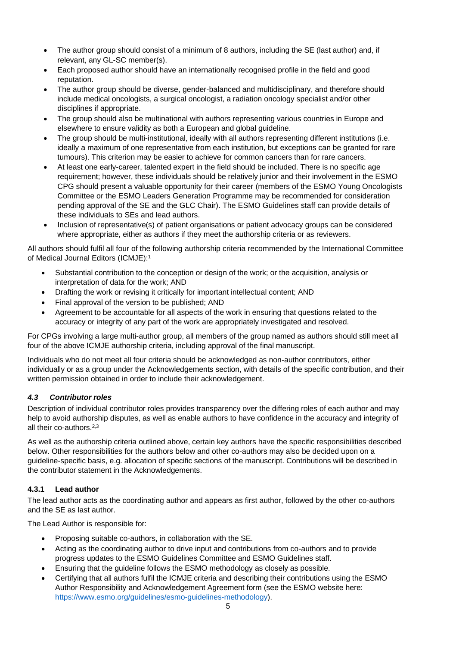- The author group should consist of a minimum of 8 authors, including the SE (last author) and, if relevant, any GL-SC member(s).
- Each proposed author should have an internationally recognised profile in the field and good reputation.
- The author group should be diverse, gender-balanced and multidisciplinary, and therefore should include medical oncologists, a surgical oncologist, a radiation oncology specialist and/or other disciplines if appropriate.
- The group should also be multinational with authors representing various countries in Europe and elsewhere to ensure validity as both a European and global guideline.
- The group should be multi-institutional, ideally with all authors representing different institutions (i.e. ideally a maximum of one representative from each institution, but exceptions can be granted for rare tumours). This criterion may be easier to achieve for common cancers than for rare cancers.
- At least one early-career, talented expert in the field should be included. There is no specific age requirement; however, these individuals should be relatively junior and their involvement in the ESMO CPG should present a valuable opportunity for their career (members of the ESMO Young Oncologists Committee or the ESMO Leaders Generation Programme may be recommended for consideration pending approval of the SE and the GLC Chair). The ESMO Guidelines staff can provide details of these individuals to SEs and lead authors.
- Inclusion of representative(s) of patient organisations or patient advocacy groups can be considered where appropriate, either as authors if they meet the authorship criteria or as reviewers.

All authors should fulfil all four of the following authorship criteria recommended by the International Committee of Medical Journal Editors (ICMJE): 1

- Substantial contribution to the conception or design of the work; or the acquisition, analysis or interpretation of data for the work; AND
- Drafting the work or revising it critically for important intellectual content; AND
- Final approval of the version to be published; AND
- Agreement to be accountable for all aspects of the work in ensuring that questions related to the accuracy or integrity of any part of the work are appropriately investigated and resolved.

For CPGs involving a large multi-author group, all members of the group named as authors should still meet all four of the above ICMJE authorship criteria, including approval of the final manuscript.

Individuals who do not meet all four criteria should be acknowledged as non-author contributors, either individually or as a group under the Acknowledgements section, with details of the specific contribution, and their written permission obtained in order to include their acknowledgement.

## <span id="page-4-0"></span>*4.3 Contributor roles*

Description of individual contributor roles provides transparency over the differing roles of each author and may help to avoid authorship disputes, as well as enable authors to have confidence in the accuracy and integrity of all their co-authors.2,3

As well as the authorship criteria outlined above, certain key authors have the specific responsibilities described below. Other responsibilities for the authors below and other co-authors may also be decided upon on a guideline-specific basis, e.g. allocation of specific sections of the manuscript. Contributions will be described in the contributor statement in the Acknowledgements.

#### <span id="page-4-1"></span>**4.3.1 Lead author**

The lead author acts as the coordinating author and appears as first author, followed by the other co-authors and the SE as last author.

The Lead Author is responsible for:

- Proposing suitable co-authors, in collaboration with the SE.
- Acting as the coordinating author to drive input and contributions from co-authors and to provide progress updates to the ESMO Guidelines Committee and ESMO Guidelines staff.
- Ensuring that the guideline follows the ESMO methodology as closely as possible.
- Certifying that all authors fulfil the ICMJE criteria and describing their contributions using the ESMO Author Responsibility and Acknowledgement Agreement form (see the ESMO website here: [https://www.esmo.org/guidelines/esmo-guidelines-methodology\)](https://www.esmo.org/guidelines/esmo-guidelines-methodology).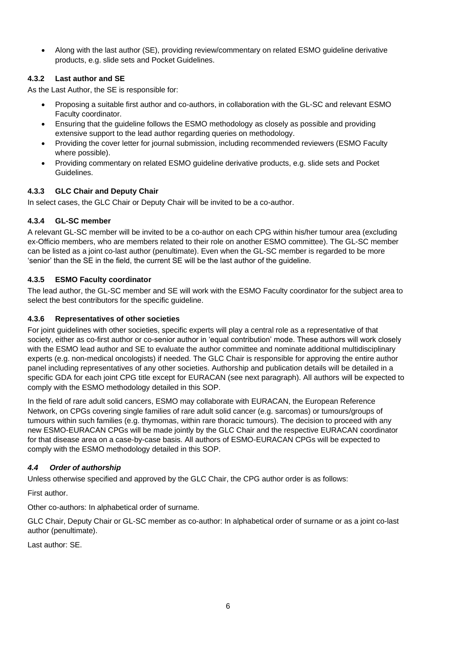• Along with the last author (SE), providing review/commentary on related ESMO guideline derivative products, e.g. slide sets and Pocket Guidelines.

# <span id="page-5-0"></span>**4.3.2 Last author and SE**

As the Last Author, the SE is responsible for:

- Proposing a suitable first author and co-authors, in collaboration with the GL-SC and relevant ESMO Faculty coordinator.
- Ensuring that the guideline follows the ESMO methodology as closely as possible and providing extensive support to the lead author regarding queries on methodology.
- Providing the cover letter for journal submission, including recommended reviewers (ESMO Faculty where possible).
- Providing commentary on related ESMO guideline derivative products, e.g. slide sets and Pocket Guidelines.

## <span id="page-5-1"></span>**4.3.3 GLC Chair and Deputy Chair**

In select cases, the GLC Chair or Deputy Chair will be invited to be a co-author.

## <span id="page-5-2"></span>**4.3.4 GL-SC member**

A relevant GL-SC member will be invited to be a co-author on each CPG within his/her tumour area (excluding ex-Officio members, who are members related to their role on another ESMO committee). The GL-SC member can be listed as a joint co-last author (penultimate). Even when the GL-SC member is regarded to be more 'senior' than the SE in the field, the current SE will be the last author of the guideline.

## <span id="page-5-3"></span>**4.3.5 ESMO Faculty coordinator**

The lead author, the GL-SC member and SE will work with the ESMO Faculty coordinator for the subject area to select the best contributors for the specific guideline.

#### <span id="page-5-4"></span>**4.3.6 Representatives of other societies**

For joint guidelines with other societies, specific experts will play a central role as a representative of that society, either as co-first author or co-senior author in 'equal contribution' mode. These authors will work closely with the ESMO lead author and SE to evaluate the author committee and nominate additional multidisciplinary experts (e.g. non-medical oncologists) if needed. The GLC Chair is responsible for approving the entire author panel including representatives of any other societies. Authorship and publication details will be detailed in a specific GDA for each joint CPG title except for EURACAN (see next paragraph). All authors will be expected to comply with the ESMO methodology detailed in this SOP.

In the field of rare adult solid cancers, ESMO may collaborate with EURACAN, the European Reference Network, on CPGs covering single families of rare adult solid cancer (e.g. sarcomas) or tumours/groups of tumours within such families (e.g. thymomas, within rare thoracic tumours). The decision to proceed with any new ESMO-EURACAN CPGs will be made jointly by the GLC Chair and the respective EURACAN coordinator for that disease area on a case-by-case basis. All authors of ESMO-EURACAN CPGs will be expected to comply with the ESMO methodology detailed in this SOP.

## <span id="page-5-5"></span>*4.4 Order of authorship*

Unless otherwise specified and approved by the GLC Chair, the CPG author order is as follows:

First author.

Other co-authors: In alphabetical order of surname.

GLC Chair, Deputy Chair or GL-SC member as co-author: In alphabetical order of surname or as a joint co-last author (penultimate).

Last author: SE.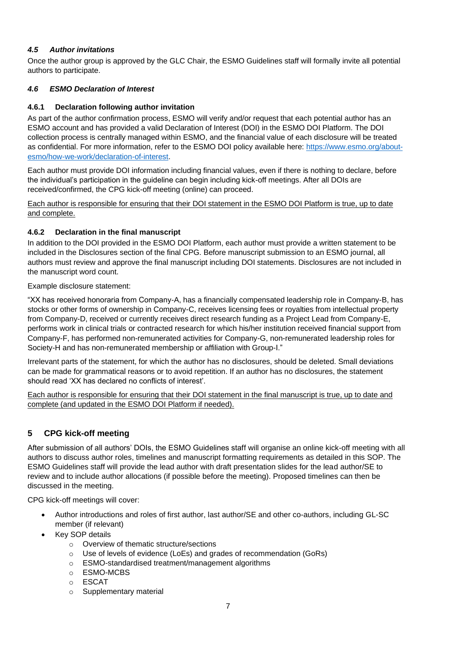## <span id="page-6-0"></span>*4.5 Author invitations*

Once the author group is approved by the GLC Chair, the ESMO Guidelines staff will formally invite all potential authors to participate.

#### <span id="page-6-1"></span>*4.6 ESMO Declaration of Interest*

#### <span id="page-6-2"></span>**4.6.1 Declaration following author invitation**

As part of the author confirmation process, ESMO will verify and/or request that each potential author has an ESMO account and has provided a valid Declaration of Interest (DOI) in the ESMO DOI Platform. The DOI collection process is centrally managed within ESMO, and the financial value of each disclosure will be treated as confidential. For more information, refer to the ESMO DOI policy available here: [https://www.esmo.org/about](https://www.esmo.org/about-esmo/how-we-work/declaration-of-interest)[esmo/how-we-work/declaration-of-interest.](https://www.esmo.org/about-esmo/how-we-work/declaration-of-interest)

Each author must provide DOI information including financial values, even if there is nothing to declare, before the individual's participation in the guideline can begin including kick-off meetings. After all DOIs are received/confirmed, the CPG kick-off meeting (online) can proceed.

Each author is responsible for ensuring that their DOI statement in the ESMO DOI Platform is true, up to date and complete.

#### <span id="page-6-3"></span>**4.6.2 Declaration in the final manuscript**

In addition to the DOI provided in the ESMO DOI Platform, each author must provide a written statement to be included in the Disclosures section of the final CPG. Before manuscript submission to an ESMO journal, all authors must review and approve the final manuscript including DOI statements. Disclosures are not included in the manuscript word count.

Example disclosure statement:

"XX has received honoraria from Company-A, has a financially compensated leadership role in Company-B, has stocks or other forms of ownership in Company-C, receives licensing fees or royalties from intellectual property from Company-D, received or currently receives direct research funding as a Project Lead from Company-E, performs work in clinical trials or contracted research for which his/her institution received financial support from Company-F, has performed non-remunerated activities for Company-G, non-remunerated leadership roles for Society-H and has non-remunerated membership or affiliation with Group-I."

Irrelevant parts of the statement, for which the author has no disclosures, should be deleted. Small deviations can be made for grammatical reasons or to avoid repetition. If an author has no disclosures, the statement should read 'XX has declared no conflicts of interest'.

Each author is responsible for ensuring that their DOI statement in the final manuscript is true, up to date and complete (and updated in the ESMO DOI Platform if needed).

# <span id="page-6-4"></span>**5 CPG kick-off meeting**

After submission of all authors' DOIs, the ESMO Guidelines staff will organise an online kick-off meeting with all authors to discuss author roles, timelines and manuscript formatting requirements as detailed in this SOP. The ESMO Guidelines staff will provide the lead author with draft presentation slides for the lead author/SE to review and to include author allocations (if possible before the meeting). Proposed timelines can then be discussed in the meeting.

CPG kick-off meetings will cover:

- Author introductions and roles of first author, last author/SE and other co-authors, including GL-SC member (if relevant)
- **Key SOP details** 
	- o Overview of thematic structure/sections
	- o Use of levels of evidence (LoEs) and grades of recommendation (GoRs)
	- o ESMO-standardised treatment/management algorithms
	- o ESMO-MCBS
	- o ESCAT
	- o Supplementary material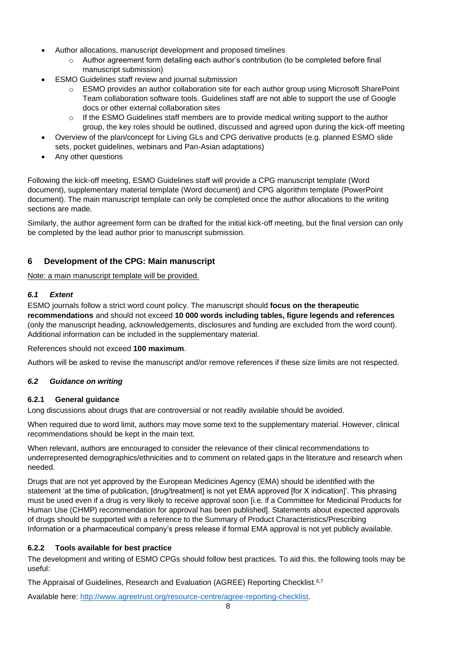- Author allocations, manuscript development and proposed timelines
	- $\circ$  Author agreement form detailing each author's contribution (to be completed before final manuscript submission)
- ESMO Guidelines staff review and journal submission
	- o ESMO provides an author collaboration site for each author group using Microsoft SharePoint Team collaboration software tools. Guidelines staff are not able to support the use of Google docs or other external collaboration sites
	- $\circ$  If the ESMO Guidelines staff members are to provide medical writing support to the author group, the key roles should be outlined, discussed and agreed upon during the kick-off meeting
- Overview of the plan/concept for Living GLs and CPG derivative products (e.g. planned ESMO slide sets, pocket guidelines, webinars and Pan-Asian adaptations)
- Any other questions

Following the kick-off meeting, ESMO Guidelines staff will provide a CPG manuscript template (Word document), supplementary material template (Word document) and CPG algorithm template (PowerPoint document). The main manuscript template can only be completed once the author allocations to the writing sections are made.

Similarly, the author agreement form can be drafted for the initial kick-off meeting, but the final version can only be completed by the lead author prior to manuscript submission.

# <span id="page-7-0"></span>**6 Development of the CPG: Main manuscript**

Note: a main manuscript template will be provided.

#### <span id="page-7-1"></span>*6.1 Extent*

ESMO journals follow a strict word count policy. The manuscript should **focus on the therapeutic recommendations** and should not exceed **10 000 words including tables, figure legends and references**  (only the manuscript heading, acknowledgements, disclosures and funding are excluded from the word count). Additional information can be included in the supplementary material.

#### References should not exceed **100 maximum**.

Authors will be asked to revise the manuscript and/or remove references if these size limits are not respected.

#### <span id="page-7-2"></span>*6.2 Guidance on writing*

#### <span id="page-7-3"></span>**6.2.1 General guidance**

Long discussions about drugs that are controversial or not readily available should be avoided.

When required due to word limit, authors may move some text to the supplementary material. However, clinical recommendations should be kept in the main text.

When relevant, authors are encouraged to consider the relevance of their clinical recommendations to underrepresented demographics/ethnicities and to comment on related gaps in the literature and research when needed.

Drugs that are not yet approved by the European Medicines Agency (EMA) should be identified with the statement 'at the time of publication, [drug/treatment] is not yet EMA approved [for X indication]'. This phrasing must be used even if a drug is very likely to receive approval soon [i.e. if a Committee for Medicinal Products for Human Use (CHMP) recommendation for approval has been published]. Statements about expected approvals of drugs should be supported with a reference to the Summary of Product Characteristics/Prescribing Information or a pharmaceutical company's press release if formal EMA approval is not yet publicly available.

## <span id="page-7-4"></span>**6.2.2 Tools available for best practice**

The development and writing of ESMO CPGs should follow best practices. To aid this, the following tools may be useful:

The Appraisal of Guidelines, Research and Evaluation (AGREE) Reporting Checklist.<sup>6,7</sup>

Available here: [http://www.agreetrust.org/resource-centre/agree-reporting-checklist.](http://www.agreetrust.org/resource-centre/agree-reporting-checklist)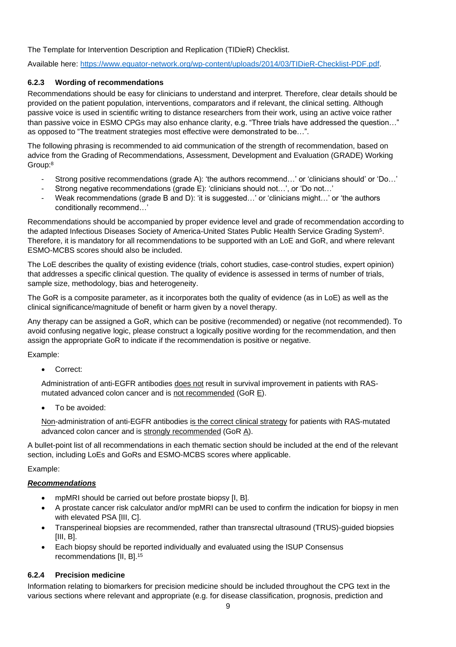The Template for Intervention Description and Replication (TIDieR) Checklist.

Available here: [https://www.equator-network.org/wp-content/uploads/2014/03/TIDieR-Checklist-PDF.pdf.](https://www.equator-network.org/wp-content/uploads/2014/03/TIDieR-Checklist-PDF.pdf)

# <span id="page-8-0"></span>**6.2.3 Wording of recommendations**

Recommendations should be easy for clinicians to understand and interpret. Therefore, clear details should be provided on the patient population, interventions, comparators and if relevant, the clinical setting. Although passive voice is used in scientific writing to distance researchers from their work, using an active voice rather than passive voice in ESMO CPGs may also enhance clarity, e.g. "Three trials have addressed the question…" as opposed to "The treatment strategies most effective were demonstrated to be…".

The following phrasing is recommended to aid communication of the strength of recommendation, based on advice from the Grading of Recommendations, Assessment, Development and Evaluation (GRADE) Working Group:<sup>8</sup>

- Strong positive recommendations (grade A): 'the authors recommend…' or 'clinicians should' or 'Do…'
- Strong negative recommendations (grade E): 'clinicians should not…', or 'Do not…'
- Weak recommendations (grade B and D): 'it is suggested…' or 'clinicians might…' or 'the authors conditionally recommend…'

Recommendations should be accompanied by proper evidence level and grade of recommendation according to the adapted Infectious Diseases Society of America-United States Public Health Service Grading System<sup>5</sup> . Therefore, it is mandatory for all recommendations to be supported with an LoE and GoR, and where relevant ESMO-MCBS scores should also be included.

The LoE describes the quality of existing evidence (trials, cohort studies, case-control studies, expert opinion) that addresses a specific clinical question. The quality of evidence is assessed in terms of number of trials, sample size, methodology, bias and heterogeneity.

The GoR is a composite parameter, as it incorporates both the quality of evidence (as in LoE) as well as the clinical significance/magnitude of benefit or harm given by a novel therapy.

Any therapy can be assigned a GoR, which can be positive (recommended) or negative (not recommended). To avoid confusing negative logic, please construct a logically positive wording for the recommendation, and then assign the appropriate GoR to indicate if the recommendation is positive or negative.

Example:

• Correct:

Administration of anti-EGFR antibodies does not result in survival improvement in patients with RASmutated advanced colon cancer and is not recommended (GoR E).

• To be avoided:

Non-administration of anti-EGFR antibodies is the correct clinical strategy for patients with RAS-mutated advanced colon cancer and is strongly recommended (GoR A).

A bullet-point list of all recommendations in each thematic section should be included at the end of the relevant section, including LoEs and GoRs and ESMO-MCBS scores where applicable.

Example:

## *Recommendations*

- mpMRI should be carried out before prostate biopsy [I, B].
- A prostate cancer risk calculator and/or mpMRI can be used to confirm the indication for biopsy in men with elevated PSA [III, C].
- Transperineal biopsies are recommended, rather than transrectal ultrasound (TRUS)-guided biopsies [III, B].
- Each biopsy should be reported individually and evaluated using the ISUP Consensus recommendations [II, B]. 15

## <span id="page-8-1"></span>**6.2.4 Precision medicine**

Information relating to biomarkers for precision medicine should be included throughout the CPG text in the various sections where relevant and appropriate (e.g. for disease classification, prognosis, prediction and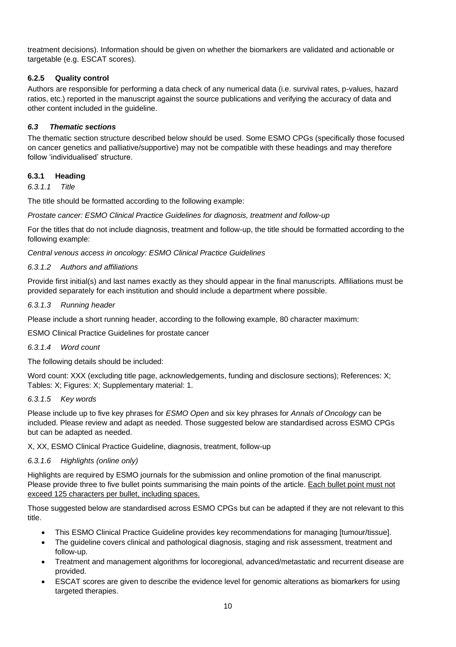treatment decisions). Information should be given on whether the biomarkers are validated and actionable or targetable (e.g. ESCAT scores).

# <span id="page-9-0"></span>**6.2.5 Quality control**

Authors are responsible for performing a data check of any numerical data (i.e. survival rates, p-values, hazard ratios, etc.) reported in the manuscript against the source publications and verifying the accuracy of data and other content included in the guideline.

# <span id="page-9-1"></span>*6.3 Thematic sections*

The thematic section structure described below should be used. Some ESMO CPGs (specifically those focused on cancer genetics and palliative/supportive) may not be compatible with these headings and may therefore follow 'individualised' structure.

## <span id="page-9-2"></span>**6.3.1 Heading**

*6.3.1.1 Title*

The title should be formatted according to the following example:

*Prostate cancer: ESMO Clinical Practice Guidelines for diagnosis, treatment and follow-up*

For the titles that do not include diagnosis, treatment and follow-up, the title should be formatted according to the following example:

*Central venous access in oncology: ESMO Clinical Practice Guidelines*

#### *6.3.1.2 Authors and affiliations*

Provide first initial(s) and last names exactly as they should appear in the final manuscripts. Affiliations must be provided separately for each institution and should include a department where possible.

#### *6.3.1.3 Running header*

Please include a short running header, according to the following example, 80 character maximum:

ESMO Clinical Practice Guidelines for prostate cancer

#### *6.3.1.4 Word count*

The following details should be included:

Word count: XXX (excluding title page, acknowledgements, funding and disclosure sections); References: X; Tables: X; Figures: X; Supplementary material: 1.

#### *6.3.1.5 Key words*

Please include up to five key phrases for *ESMO Open* and six key phrases for *Annals of Oncology* can be included. Please review and adapt as needed. Those suggested below are standardised across ESMO CPGs but can be adapted as needed.

X, XX, ESMO Clinical Practice Guideline, diagnosis, treatment, follow-up

## *6.3.1.6 Highlights (online only)*

Highlights are required by ESMO journals for the submission and online promotion of the final manuscript. Please provide three to five bullet points summarising the main points of the article. Each bullet point must not exceed 125 characters per bullet, including spaces.

Those suggested below are standardised across ESMO CPGs but can be adapted if they are not relevant to this title.

- This ESMO Clinical Practice Guideline provides key recommendations for managing [tumour/tissue].
- The guideline covers clinical and pathological diagnosis, staging and risk assessment, treatment and follow-up.
- Treatment and management algorithms for locoregional, advanced/metastatic and recurrent disease are provided.
- ESCAT scores are given to describe the evidence level for genomic alterations as biomarkers for using targeted therapies.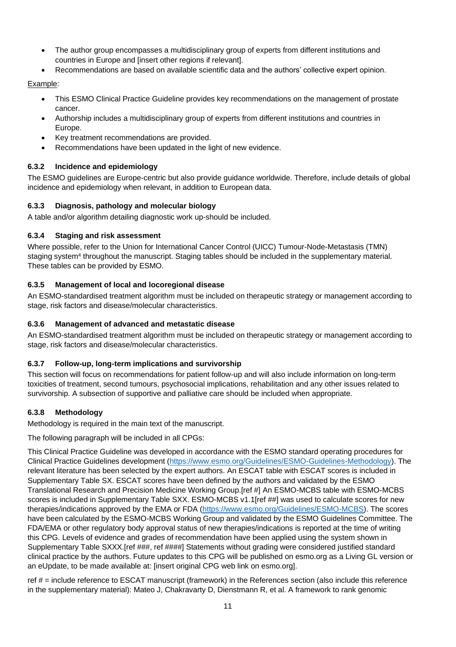- The author group encompasses a multidisciplinary group of experts from different institutions and countries in Europe and [insert other regions if relevant].
- Recommendations are based on available scientific data and the authors' collective expert opinion.

#### Example:

- This ESMO Clinical Practice Guideline provides key recommendations on the management of prostate cancer.
- Authorship includes a multidisciplinary group of experts from different institutions and countries in Europe.
- Key treatment recommendations are provided.
- Recommendations have been updated in the light of new evidence.

## <span id="page-10-0"></span>**6.3.2 Incidence and epidemiology**

The ESMO guidelines are Europe-centric but also provide guidance worldwide. Therefore, include details of global incidence and epidemiology when relevant, in addition to European data.

## <span id="page-10-1"></span>**6.3.3 Diagnosis, pathology and molecular biology**

A table and/or algorithm detailing diagnostic work up-should be included.

#### <span id="page-10-2"></span>**6.3.4 Staging and risk assessment**

Where possible, refer to the Union for International Cancer Control (UICC) Tumour-Node-Metastasis (TMN) staging system<sup>4</sup> throughout the manuscript. Staging tables should be included in the supplementary material. These tables can be provided by ESMO.

#### <span id="page-10-3"></span>**6.3.5 Management of local and locoregional disease**

An ESMO-standardised treatment algorithm must be included on therapeutic strategy or management according to stage, risk factors and disease/molecular characteristics.

#### <span id="page-10-4"></span>**6.3.6 Management of advanced and metastatic disease**

An ESMO-standardised treatment algorithm must be included on therapeutic strategy or management according to stage, risk factors and disease/molecular characteristics.

## <span id="page-10-5"></span>**6.3.7 Follow-up, long-term implications and survivorship**

This section will focus on recommendations for patient follow-up and will also include information on long-term toxicities of treatment, second tumours, psychosocial implications, rehabilitation and any other issues related to survivorship. A subsection of supportive and palliative care should be included when appropriate.

## <span id="page-10-6"></span>**6.3.8 Methodology**

Methodology is required in the main text of the manuscript.

The following paragraph will be included in all CPGs:

This Clinical Practice Guideline was developed in accordance with the ESMO standard operating procedures for Clinical Practice Guidelines development (https://www.esmo.org/Guidelines/ESMO-Guidelines-Methodology). The relevant literature has been selected by the expert authors. An ESCAT table with ESCAT scores is included in Supplementary Table SX. ESCAT scores have been defined by the authors and validated by the ESMO Translational Research and Precision Medicine Working Group.[ref #] An ESMO-MCBS table with ESMO-MCBS scores is included in Supplementary Table SXX. ESMO-MCBS v1.1[ref ##] was used to calculate scores for new therapies/indications approved by the EMA or FDA (https://www.esmo.org/Guidelines/ESMO-MCBS). The scores have been calculated by the ESMO-MCBS Working Group and validated by the ESMO Guidelines Committee. The FDA/EMA or other regulatory body approval status of new therapies/indications is reported at the time of writing this CPG. Levels of evidence and grades of recommendation have been applied using the system shown in Supplementary Table SXXX.[ref ###, ref ####] Statements without grading were considered justified standard clinical practice by the authors. Future updates to this CPG will be published on esmo.org as a Living GL version or an eUpdate, to be made available at: [insert original CPG web link on esmo.org].

ref # = include reference to ESCAT manuscript (framework) in the References section (also include this reference in the supplementary material): Mateo J, Chakravarty D, Dienstmann R, et al. A framework to rank genomic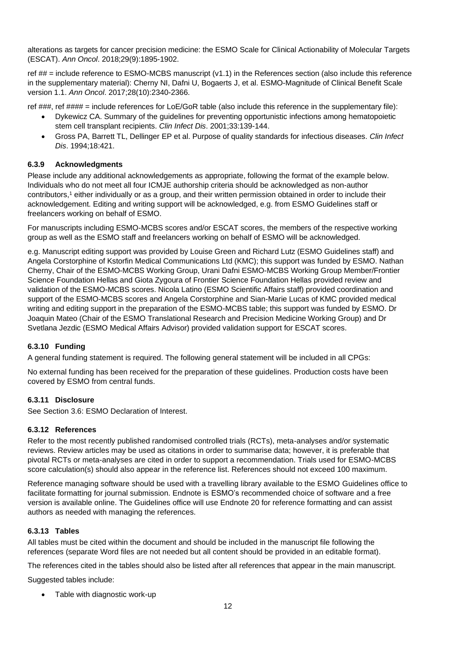alterations as targets for cancer precision medicine: the ESMO Scale for Clinical Actionability of Molecular Targets (ESCAT). *Ann Oncol*. 2018;29(9):1895-1902.

ref  $\#$  = include reference to ESMO-MCBS manuscript (v1.1) in the References section (also include this reference in the supplementary material): Cherny NI, Dafni U, Bogaerts J, et al. ESMO-Magnitude of Clinical Benefit Scale version 1.1. *Ann Oncol*. 2017;28(10):2340-2366.

ref ###, ref #### = include references for LoE/GoR table (also include this reference in the supplementary file):

- Dykewicz CA. Summary of the guidelines for preventing opportunistic infections among hematopoietic stem cell transplant recipients. *Clin Infect Dis*. 2001;33:139-144.
- Gross PA, Barrett TL, Dellinger EP et al. Purpose of quality standards for infectious diseases. *Clin Infect Dis*. 1994;18:421.

#### <span id="page-11-0"></span>**6.3.9 Acknowledgments**

Please include any additional acknowledgements as appropriate, following the format of the example below. Individuals who do not meet all four ICMJE authorship criteria should be acknowledged as non-author contributors,<sup>1</sup> either individually or as a group, and their written permission obtained in order to include their acknowledgement. Editing and writing support will be acknowledged, e.g. from ESMO Guidelines staff or freelancers working on behalf of ESMO.

For manuscripts including ESMO-MCBS scores and/or ESCAT scores, the members of the respective working group as well as the ESMO staff and freelancers working on behalf of ESMO will be acknowledged.

e.g. Manuscript editing support was provided by Louise Green and Richard Lutz (ESMO Guidelines staff) and Angela Corstorphine of Kstorfin Medical Communications Ltd (KMC); this support was funded by ESMO. Nathan Cherny, Chair of the ESMO-MCBS Working Group, Urani Dafni ESMO-MCBS Working Group Member/Frontier Science Foundation Hellas and Giota Zygoura of Frontier Science Foundation Hellas provided review and validation of the ESMO-MCBS scores. Nicola Latino (ESMO Scientific Affairs staff) provided coordination and support of the ESMO-MCBS scores and Angela Corstorphine and Sian-Marie Lucas of KMC provided medical writing and editing support in the preparation of the ESMO-MCBS table; this support was funded by ESMO. Dr Joaquin Mateo (Chair of the ESMO Translational Research and Precision Medicine Working Group) and Dr Svetlana Jezdic (ESMO Medical Affairs Advisor) provided validation support for ESCAT scores.

## <span id="page-11-1"></span>**6.3.10 Funding**

A general funding statement is required. The following general statement will be included in all CPGs:

No external funding has been received for the preparation of these guidelines. Production costs have been covered by ESMO from central funds.

## <span id="page-11-2"></span>**6.3.11 Disclosure**

See Section 3.6: ESMO Declaration of Interest.

#### <span id="page-11-3"></span>**6.3.12 References**

Refer to the most recently published randomised controlled trials (RCTs), meta-analyses and/or systematic reviews. Review articles may be used as citations in order to summarise data; however, it is preferable that pivotal RCTs or meta-analyses are cited in order to support a recommendation. Trials used for ESMO-MCBS score calculation(s) should also appear in the reference list. References should not exceed 100 maximum.

Reference managing software should be used with a travelling library available to the ESMO Guidelines office to facilitate formatting for journal submission. Endnote is ESMO's recommended choice of software and a free version is available online. The Guidelines office will use Endnote 20 for reference formatting and can assist authors as needed with managing the references.

#### <span id="page-11-4"></span>**6.3.13 Tables**

All tables must be cited within the document and should be included in the manuscript file following the references (separate Word files are not needed but all content should be provided in an editable format).

The references cited in the tables should also be listed after all references that appear in the main manuscript.

Suggested tables include:

• Table with diagnostic work-up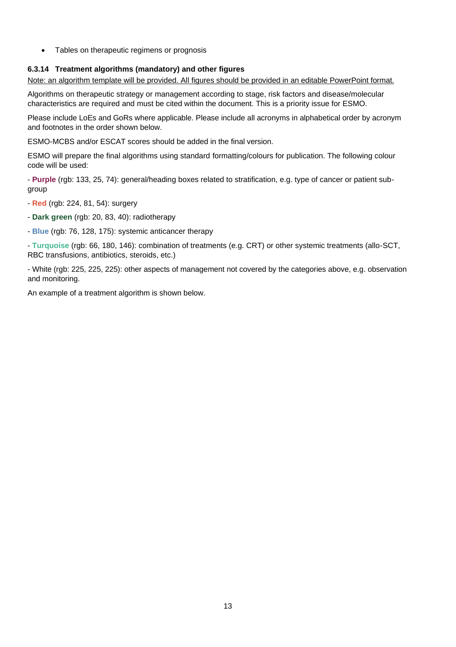• Tables on therapeutic regimens or prognosis

# <span id="page-12-0"></span>**6.3.14 Treatment algorithms (mandatory) and other figures**

Note: an algorithm template will be provided. All figures should be provided in an editable PowerPoint format.

Algorithms on therapeutic strategy or management according to stage, risk factors and disease/molecular characteristics are required and must be cited within the document. This is a priority issue for ESMO.

Please include LoEs and GoRs where applicable. Please include all acronyms in alphabetical order by acronym and footnotes in the order shown below.

ESMO-MCBS and/or ESCAT scores should be added in the final version.

ESMO will prepare the final algorithms using standard formatting/colours for publication. The following colour code will be used:

- **Purple** (rgb: 133, 25, 74): general/heading boxes related to stratification, e.g. type of cancer or patient subgroup

- **Red** (rgb: 224, 81, 54): surgery
- **Dark green** (rgb: 20, 83, 40): radiotherapy
- **Blue** (rgb: 76, 128, 175): systemic anticancer therapy

- **Turquoise** (rgb: 66, 180, 146): combination of treatments (e.g. CRT) or other systemic treatments (allo-SCT, RBC transfusions, antibiotics, steroids, etc.)

- White (rgb: 225, 225, 225): other aspects of management not covered by the categories above, e.g. observation and monitoring.

An example of a treatment algorithm is shown below.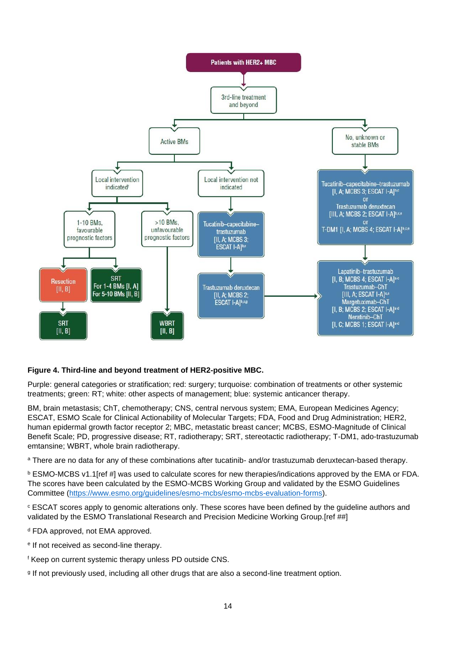

## **Figure 4. Third-line and beyond treatment of HER2-positive MBC.**

Purple: general categories or stratification; red: surgery; turquoise: combination of treatments or other systemic treatments; green: RT; white: other aspects of management; blue: systemic anticancer therapy.

BM, brain metastasis; ChT, chemotherapy; CNS, central nervous system; EMA, European Medicines Agency; ESCAT, ESMO Scale for Clinical Actionability of Molecular Targets; FDA, Food and Drug Administration; HER2, human epidermal growth factor receptor 2; MBC, metastatic breast cancer; MCBS, ESMO-Magnitude of Clinical Benefit Scale; PD, progressive disease; RT, radiotherapy; SRT, stereotactic radiotherapy; T-DM1, ado-trastuzumab emtansine; WBRT, whole brain radiotherapy.

a There are no data for any of these combinations after tucatinib- and/or trastuzumab deruxtecan-based therapy.

<sup>b</sup> ESMO-MCBS v1.1[ref #] was used to calculate scores for new therapies/indications approved by the EMA or FDA. The scores have been calculated by the ESMO-MCBS Working Group and validated by the ESMO Guidelines Committee [\(https://www.esmo.org/guidelines/esmo-mcbs/esmo-mcbs-evaluation-forms\)](https://www.esmo.org/guidelines/esmo-mcbs/esmo-mcbs-evaluation-forms).

<sup>c</sup> ESCAT scores apply to genomic alterations only. These scores have been defined by the guideline authors and validated by the ESMO Translational Research and Precision Medicine Working Group.[ref ##]

<sup>d</sup> FDA approved, not EMA approved.

e If not received as second-line therapy.

<sup>f</sup> Keep on current systemic therapy unless PD outside CNS.

g If not previously used, including all other drugs that are also a second-line treatment option.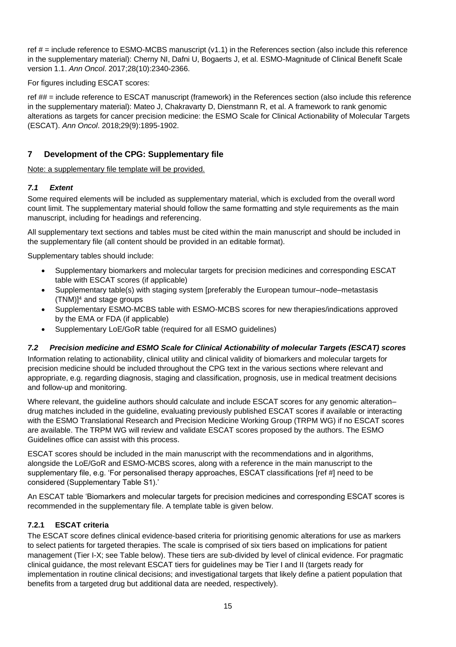ref  $#$  = include reference to ESMO-MCBS manuscript ( $v1.1$ ) in the References section (also include this reference in the supplementary material): Cherny NI, Dafni U, Bogaerts J, et al. ESMO-Magnitude of Clinical Benefit Scale version 1.1. *Ann Oncol*. 2017;28(10):2340-2366.

For figures including ESCAT scores:

ref ## = include reference to ESCAT manuscript (framework) in the References section (also include this reference in the supplementary material): Mateo J, Chakravarty D, Dienstmann R, et al. A framework to rank genomic alterations as targets for cancer precision medicine: the ESMO Scale for Clinical Actionability of Molecular Targets (ESCAT). *Ann Oncol*. 2018;29(9):1895-1902.

# <span id="page-14-0"></span>**7 Development of the CPG: Supplementary file**

Note: a supplementary file template will be provided.

## <span id="page-14-1"></span>*7.1 Extent*

Some required elements will be included as supplementary material, which is excluded from the overall word count limit. The supplementary material should follow the same formatting and style requirements as the main manuscript, including for headings and referencing.

All supplementary text sections and tables must be cited within the main manuscript and should be included in the supplementary file (all content should be provided in an editable format).

Supplementary tables should include:

- Supplementary biomarkers and molecular targets for precision medicines and corresponding ESCAT table with ESCAT scores (if applicable)
- Supplementary table(s) with staging system [preferably the European tumour–node–metastasis  $(TNM)<sup>14</sup>$  and stage groups
- Supplementary ESMO-MCBS table with ESMO-MCBS scores for new therapies/indications approved by the EMA or FDA (if applicable)
- Supplementary LoE/GoR table (required for all ESMO guidelines)

## <span id="page-14-2"></span>*7.2 Precision medicine and ESMO Scale for Clinical Actionability of molecular Targets (ESCAT) scores*

Information relating to actionability, clinical utility and clinical validity of biomarkers and molecular targets for precision medicine should be included throughout the CPG text in the various sections where relevant and appropriate, e.g. regarding diagnosis, staging and classification, prognosis, use in medical treatment decisions and follow-up and monitoring.

Where relevant, the quideline authors should calculate and include ESCAT scores for any genomic alteration– drug matches included in the guideline, evaluating previously published ESCAT scores if available or interacting with the ESMO Translational Research and Precision Medicine Working Group (TRPM WG) if no ESCAT scores are available. The TRPM WG will review and validate ESCAT scores proposed by the authors. The ESMO Guidelines office can assist with this process.

ESCAT scores should be included in the main manuscript with the recommendations and in algorithms, alongside the LoE/GoR and ESMO-MCBS scores, along with a reference in the main manuscript to the supplementary file, e.g. 'For personalised therapy approaches, ESCAT classifications [ref #] need to be considered (Supplementary Table S1).'

An ESCAT table 'Biomarkers and molecular targets for precision medicines and corresponding ESCAT scores is recommended in the supplementary file. A template table is given below.

## <span id="page-14-3"></span>**7.2.1 ESCAT criteria**

The ESCAT score defines clinical evidence-based criteria for prioritising genomic alterations for use as markers to select patients for targeted therapies. The scale is comprised of six tiers based on implications for patient management (Tier I-X; see Table below). These tiers are sub-divided by level of clinical evidence. For pragmatic clinical guidance, the most relevant ESCAT tiers for guidelines may be Tier I and II (targets ready for implementation in routine clinical decisions; and investigational targets that likely define a patient population that benefits from a targeted drug but additional data are needed, respectively).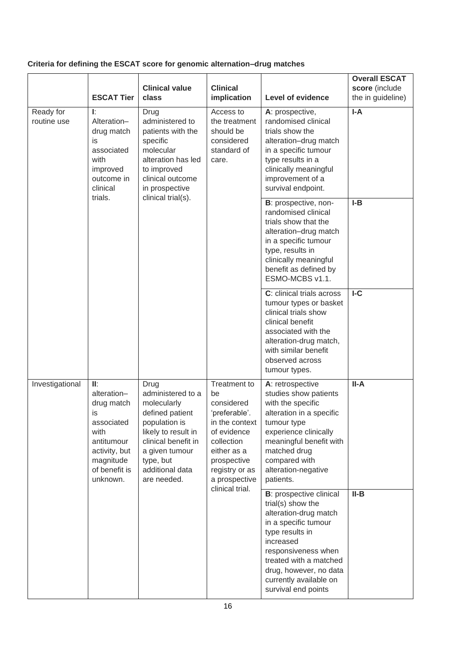# **Criteria for defining the ESCAT score for genomic alternation–drug matches**

|                          | <b>ESCAT Tier</b>                                                                                                                                                                                                                                                                                                                                                                                                                                                                                                                                                                                        | <b>Clinical value</b><br>class                                                                                                                                           | <b>Clinical</b><br>implication                                                                                                                                                                                                     | <b>Level of evidence</b>                                                                                                                                                                                                                                          | <b>Overall ESCAT</b><br>score (include<br>the in guideline)                                                                                                                                        |       |
|--------------------------|----------------------------------------------------------------------------------------------------------------------------------------------------------------------------------------------------------------------------------------------------------------------------------------------------------------------------------------------------------------------------------------------------------------------------------------------------------------------------------------------------------------------------------------------------------------------------------------------------------|--------------------------------------------------------------------------------------------------------------------------------------------------------------------------|------------------------------------------------------------------------------------------------------------------------------------------------------------------------------------------------------------------------------------|-------------------------------------------------------------------------------------------------------------------------------------------------------------------------------------------------------------------------------------------------------------------|----------------------------------------------------------------------------------------------------------------------------------------------------------------------------------------------------|-------|
| Ready for<br>routine use | Ŀ.<br>Drug<br>Alteration-<br>administered to<br>patients with the<br>drug match<br>is<br>specific<br>molecular<br>associated<br>with<br>improved<br>to improved<br>outcome in<br>clinical outcome<br>clinical<br>in prospective<br>clinical trial(s).<br>trials.<br>II:<br>Drug<br>alteration-<br>administered to a<br>drug match<br>molecularly<br>defined patient<br>is<br>associated<br>population is<br>with<br>likely to result in<br>clinical benefit in<br>antitumour<br>activity, but<br>a given tumour<br>magnitude<br>type, but<br>of benefit is<br>additional data<br>unknown.<br>are needed. |                                                                                                                                                                          | alteration has led                                                                                                                                                                                                                 | Access to<br>the treatment<br>should be<br>considered<br>standard of<br>care.                                                                                                                                                                                     | A: prospective,<br>randomised clinical<br>trials show the<br>alteration-drug match<br>in a specific tumour<br>type results in a<br>clinically meaningful<br>improvement of a<br>survival endpoint. | $I-A$ |
|                          |                                                                                                                                                                                                                                                                                                                                                                                                                                                                                                                                                                                                          |                                                                                                                                                                          |                                                                                                                                                                                                                                    | B: prospective, non-<br>randomised clinical<br>trials show that the<br>alteration-drug match<br>in a specific tumour<br>type, results in<br>clinically meaningful<br>benefit as defined by<br>ESMO-MCBS v1.1.                                                     | $I-B$                                                                                                                                                                                              |       |
|                          |                                                                                                                                                                                                                                                                                                                                                                                                                                                                                                                                                                                                          |                                                                                                                                                                          |                                                                                                                                                                                                                                    | C: clinical trials across<br>tumour types or basket<br>clinical trials show<br>clinical benefit<br>associated with the<br>alteration-drug match,<br>with similar benefit<br>observed across<br>tumour types.                                                      | IC                                                                                                                                                                                                 |       |
| Investigational          |                                                                                                                                                                                                                                                                                                                                                                                                                                                                                                                                                                                                          | <b>Treatment to</b><br>be<br>considered<br>'preferable'.<br>in the context<br>of evidence<br>collection<br>either as a<br>prospective<br>registry or as<br>a prospective | A: retrospective<br>studies show patients<br>with the specific<br>alteration in a specific<br>tumour type<br>experience clinically<br>meaningful benefit with<br>matched drug<br>compared with<br>alteration-negative<br>patients. | II-A                                                                                                                                                                                                                                                              |                                                                                                                                                                                                    |       |
|                          |                                                                                                                                                                                                                                                                                                                                                                                                                                                                                                                                                                                                          |                                                                                                                                                                          | clinical trial.                                                                                                                                                                                                                    | <b>B</b> : prospective clinical<br>trial(s) show the<br>alteration-drug match<br>in a specific tumour<br>type results in<br>increased<br>responsiveness when<br>treated with a matched<br>drug, however, no data<br>currently available on<br>survival end points | $II-B$                                                                                                                                                                                             |       |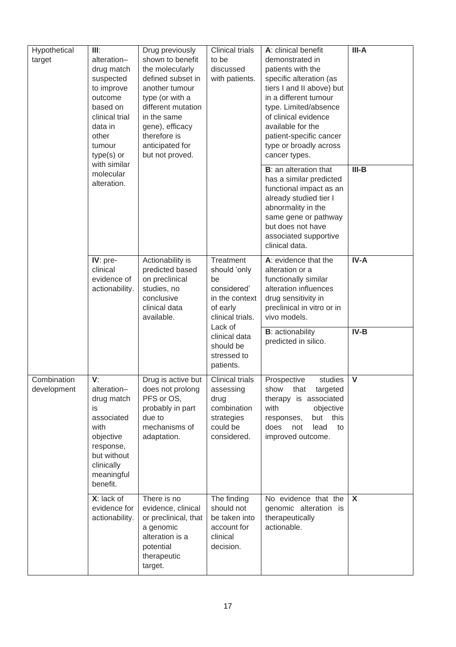| Hypothetical<br>target     | III:<br>Drug previously<br>shown to benefit<br>alteration-<br>drug match<br>the molecularly<br>defined subset in<br>suspected<br>to improve<br>another tumour<br>outcome<br>type (or with a<br>based on<br>different mutation<br>clinical trial<br>in the same<br>data in<br>gene), efficacy<br>therefore is<br>other<br>anticipated for<br>tumour<br>type(s) or<br>but not proved.<br>with similar |                                                                                                                                  | <b>Clinical trials</b><br>to be<br>discussed<br>with patients.                                              | A: clinical benefit<br>demonstrated in<br>patients with the<br>specific alteration (as<br>tiers I and II above) but<br>in a different tumour<br>type. Limited/absence<br>of clinical evidence<br>available for the<br>patient-specific cancer<br>type or broadly across<br>cancer types. | III-A                     |
|----------------------------|-----------------------------------------------------------------------------------------------------------------------------------------------------------------------------------------------------------------------------------------------------------------------------------------------------------------------------------------------------------------------------------------------------|----------------------------------------------------------------------------------------------------------------------------------|-------------------------------------------------------------------------------------------------------------|------------------------------------------------------------------------------------------------------------------------------------------------------------------------------------------------------------------------------------------------------------------------------------------|---------------------------|
|                            | molecular<br>alteration.                                                                                                                                                                                                                                                                                                                                                                            |                                                                                                                                  |                                                                                                             | <b>B</b> : an alteration that<br>has a similar predicted<br>functional impact as an<br>already studied tier I<br>abnormality in the<br>same gene or pathway<br>but does not have<br>associated supportive<br>clinical data.                                                              | $III-B$                   |
|                            | IV: pre-<br>clinical<br>evidence of<br>actionability.                                                                                                                                                                                                                                                                                                                                               | Actionability is<br>predicted based<br>on preclinical<br>studies, no<br>conclusive<br>clinical data<br>available.                | Treatment<br>should 'only<br>be<br>considered'<br>in the context<br>of early<br>clinical trials.<br>Lack of | A: evidence that the<br>alteration or a<br>functionally similar<br>alteration influences<br>drug sensitivity in<br>preclinical in vitro or in<br>vivo models.                                                                                                                            | $IV-A$                    |
|                            |                                                                                                                                                                                                                                                                                                                                                                                                     |                                                                                                                                  | clinical data<br>should be<br>stressed to<br>patients.                                                      | <b>B</b> : actionability<br>predicted in silico.                                                                                                                                                                                                                                         | $IV-B$                    |
| Combination<br>development | V:<br>alteration-<br>drug match<br>is<br>associated<br>with<br>objective<br>response,<br>but without<br>clinically<br>meaningful<br>benefit.                                                                                                                                                                                                                                                        | Drug is active but<br>does not prolong<br>PFS or OS,<br>probably in part<br>due to<br>mechanisms of<br>adaptation.               | <b>Clinical trials</b><br>assessing<br>drug<br>combination<br>strategies<br>could be<br>considered.         | Prospective<br>studies<br>targeted<br>that<br>show<br>therapy is associated<br>with<br>objective<br>this<br>but<br>responses,<br>does<br>not<br>lead<br>to<br>improved outcome.                                                                                                          | $\mathbf{V}$              |
|                            | X: lack of<br>evidence for<br>actionability.                                                                                                                                                                                                                                                                                                                                                        | There is no<br>evidence, clinical<br>or preclinical, that<br>a genomic<br>alteration is a<br>potential<br>therapeutic<br>target. | The finding<br>should not<br>be taken into<br>account for<br>clinical<br>decision.                          | No evidence that the<br>genomic alteration is<br>therapeutically<br>actionable.                                                                                                                                                                                                          | $\boldsymbol{\mathsf{X}}$ |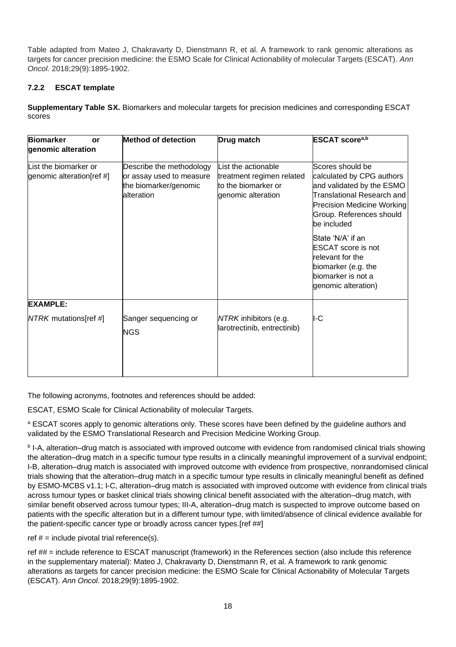Table adapted from Mateo J, Chakravarty D, Dienstmann R, et al. A framework to rank genomic alterations as targets for cancer precision medicine: the ESMO Scale for Clinical Actionability of molecular Targets (ESCAT). *Ann Oncol*. 2018;29(9):1895-1902.

# <span id="page-17-0"></span>**7.2.2 ESCAT template**

**Supplementary Table SX.** Biomarkers and molecular targets for precision medicines and corresponding ESCAT scores

| <b>Biomarker</b><br>or<br>genomic alteration       | <b>Method of detection</b>                                                                  | Drug match                                                                                    | <b>ESCAT</b> score <sup>a,b</sup>                                                                                                                                                        |
|----------------------------------------------------|---------------------------------------------------------------------------------------------|-----------------------------------------------------------------------------------------------|------------------------------------------------------------------------------------------------------------------------------------------------------------------------------------------|
| List the biomarker or<br>genomic alteration[ref #] | Describe the methodology<br>or assay used to measure<br>the biomarker/genomic<br>alteration | List the actionable<br>treatment regimen related<br>to the biomarker or<br>genomic alteration | Scores should be<br>calculated by CPG authors<br>and validated by the ESMO<br>Translational Research and<br><b>Precision Medicine Working</b><br>Group. References should<br>be included |
|                                                    |                                                                                             |                                                                                               | State 'N/A' if an<br>ESCAT score is not<br>relevant for the<br>biomarker (e.g. the<br>biomarker is not a<br>genomic alteration)                                                          |
| <b>EXAMPLE:</b>                                    |                                                                                             |                                                                                               |                                                                                                                                                                                          |
| NTRK mutations[ref #]                              | Sanger sequencing or<br><b>NGS</b>                                                          | NTRK inhibitors (e.g.<br>larotrectinib, entrectinib)                                          | I-C                                                                                                                                                                                      |

The following acronyms, footnotes and references should be added:

ESCAT, ESMO Scale for Clinical Actionability of molecular Targets.

a ESCAT scores apply to genomic alterations only. These scores have been defined by the guideline authors and validated by the ESMO Translational Research and Precision Medicine Working Group.

**b** I-A, alteration–drug match is associated with improved outcome with evidence from randomised clinical trials showing the alteration–drug match in a specific tumour type results in a clinically meaningful improvement of a survival endpoint; I-B, alteration–drug match is associated with improved outcome with evidence from prospective, nonrandomised clinical trials showing that the alteration–drug match in a specific tumour type results in clinically meaningful benefit as defined by ESMO-MCBS v1.1; I-C, alteration–drug match is associated with improved outcome with evidence from clinical trials across tumour types or basket clinical trials showing clinical benefit associated with the alteration–drug match, with similar benefit observed across tumour types; III-A, alteration–drug match is suspected to improve outcome based on patients with the specific alteration but in a different tumour type, with limited/absence of clinical evidence available for the patient-specific cancer type or broadly across cancer types.[ref ##]

ref  $# =$  include pivotal trial reference(s).

ref ## = include reference to ESCAT manuscript (framework) in the References section (also include this reference in the supplementary material): Mateo J, Chakravarty D, Dienstmann R, et al. A framework to rank genomic alterations as targets for cancer precision medicine: the ESMO Scale for Clinical Actionability of Molecular Targets (ESCAT). *Ann Oncol*. 2018;29(9):1895-1902.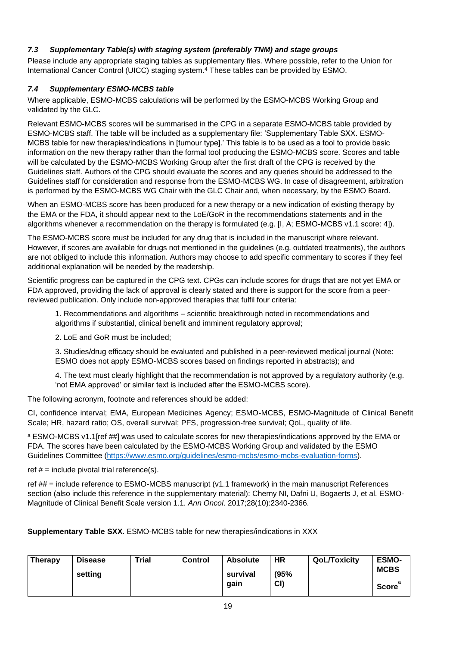# <span id="page-18-0"></span>*7.3 Supplementary Table(s) with staging system (preferably TNM) and stage groups*

Please include any appropriate staging tables as supplementary files. Where possible, refer to the Union for International Cancer Control (UICC) staging system.<sup>4</sup> These tables can be provided by ESMO.

## <span id="page-18-1"></span>*7.4 Supplementary ESMO-MCBS table*

Where applicable, ESMO-MCBS calculations will be performed by the ESMO-MCBS Working Group and validated by the GLC.

Relevant ESMO-MCBS scores will be summarised in the CPG in a separate ESMO-MCBS table provided by ESMO-MCBS staff. The table will be included as a supplementary file: 'Supplementary Table SXX. ESMO-MCBS table for new therapies/indications in [tumour type].' This table is to be used as a tool to provide basic information on the new therapy rather than the formal tool producing the ESMO-MCBS score. Scores and table will be calculated by the ESMO-MCBS Working Group after the first draft of the CPG is received by the Guidelines staff. Authors of the CPG should evaluate the scores and any queries should be addressed to the Guidelines staff for consideration and response from the ESMO-MCBS WG. In case of disagreement, arbitration is performed by the ESMO-MCBS WG Chair with the GLC Chair and, when necessary, by the ESMO Board.

When an ESMO-MCBS score has been produced for a new therapy or a new indication of existing therapy by the EMA or the FDA, it should appear next to the LoE/GoR in the recommendations statements and in the algorithms whenever a recommendation on the therapy is formulated (e.g. [I, A; ESMO-MCBS v1.1 score: 4]).

The ESMO-MCBS score must be included for any drug that is included in the manuscript where relevant. However, if scores are available for drugs not mentioned in the guidelines (e.g. outdated treatments), the authors are not obliged to include this information. Authors may choose to add specific commentary to scores if they feel additional explanation will be needed by the readership.

Scientific progress can be captured in the CPG text. CPGs can include scores for drugs that are not yet EMA or FDA approved, providing the lack of approval is clearly stated and there is support for the score from a peerreviewed publication. Only include non-approved therapies that fulfil four criteria:

1. Recommendations and algorithms – scientific breakthrough noted in recommendations and algorithms if substantial, clinical benefit and imminent regulatory approval;

2. LoE and GoR must be included;

3. Studies/drug efficacy should be evaluated and published in a peer-reviewed medical journal (Note: ESMO does not apply ESMO-MCBS scores based on findings reported in abstracts); and

4. The text must clearly highlight that the recommendation is not approved by a regulatory authority (e.g. 'not EMA approved' or similar text is included after the ESMO-MCBS score).

The following acronym, footnote and references should be added:

CI, confidence interval; EMA, European Medicines Agency; ESMO-MCBS, ESMO-Magnitude of Clinical Benefit Scale; HR, hazard ratio; OS, overall survival; PFS, progression-free survival; QoL, quality of life.

a ESMO-MCBS v1.1[ref ##] was used to calculate scores for new therapies/indications approved by the EMA or FDA. The scores have been calculated by the ESMO-MCBS Working Group and validated by the ESMO Guidelines Committee (https://www.esmo.org/guidelines/esmo-mcbs/esmo-mcbs-evaluation-forms).

ref  $#$  = include pivotal trial reference(s).

ref ## = include reference to ESMO-MCBS manuscript (v1.1 framework) in the main manuscript References section (also include this reference in the supplementary material): Cherny NI, Dafni U, Bogaerts J, et al. ESMO-Magnitude of Clinical Benefit Scale version 1.1. *Ann Oncol*. 2017;28(10):2340-2366.

**Supplementary Table SXX**. ESMO-MCBS table for new therapies/indications in XXX

| <b>Therapy</b> | <b>Disease</b> | <b>Trial</b> | <b>Control</b> | <b>Absolute</b> | <b>HR</b> | <b>QoL/Toxicity</b> | <b>ESMO-</b> |
|----------------|----------------|--------------|----------------|-----------------|-----------|---------------------|--------------|
|                | setting        |              |                | survival        | (95%      |                     | <b>MCBS</b>  |
|                |                |              |                | qain            | CI        |                     | <b>Score</b> |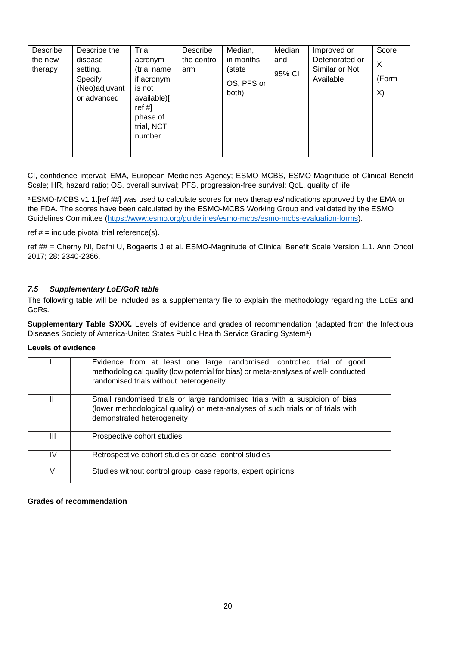| Describe<br>the new<br>therapy | Describe the<br>disease<br>setting.     | Trial<br>acronym<br>(trial name                                                   | Describe<br>the control<br>arm | Median,<br>in months<br>(state | Median<br>and | Improved or<br>Deteriorated or<br>Similar or Not | Score<br>X  |
|--------------------------------|-----------------------------------------|-----------------------------------------------------------------------------------|--------------------------------|--------------------------------|---------------|--------------------------------------------------|-------------|
|                                | Specify<br>(Neo)adjuvant<br>or advanced | if acronym<br>is not<br>available)[<br>ref #]<br>phase of<br>trial, NCT<br>number |                                | OS, PFS or<br>both)            | 95% CI        | Available                                        | (Form<br>X) |

CI, confidence interval; EMA, European Medicines Agency; ESMO-MCBS, ESMO-Magnitude of Clinical Benefit Scale; HR, hazard ratio; OS, overall survival; PFS, progression-free survival; QoL, quality of life.

a ESMO-MCBS v1.1.[ref ##] was used to calculate scores for new therapies/indications approved by the EMA or the FDA. The scores have been calculated by the ESMO-MCBS Working Group and validated by the ESMO Guidelines Committee [\(https://www.esmo.org/guidelines/esmo-mcbs/esmo-mcbs-evaluation-forms\)](https://www.esmo.org/guidelines/esmo-mcbs/esmo-mcbs-evaluation-forms).

ref  $# =$  include pivotal trial reference(s).

ref ## = Cherny NI, Dafni U, Bogaerts J et al. ESMO-Magnitude of Clinical Benefit Scale Version 1.1. Ann Oncol 2017; 28: 2340-2366.

#### <span id="page-19-0"></span>*7.5 Supplementary LoE/GoR table*

The following table will be included as a supplementary file to explain the methodology regarding the LoEs and GoRs.

**Supplementary Table SXXX.** Levels of evidence and grades of recommendation (adapted from the Infectious Diseases Society of America-United States Public Health Service Grading System<sup>a</sup>)

#### **Levels of evidence**

|              | Evidence from at least one large randomised, controlled trial of good<br>methodological quality (low potential for bias) or meta-analyses of well-conducted<br>randomised trials without heterogeneity |
|--------------|--------------------------------------------------------------------------------------------------------------------------------------------------------------------------------------------------------|
| $\mathbf{I}$ | Small randomised trials or large randomised trials with a suspicion of bias<br>(lower methodological quality) or meta-analyses of such trials or of trials with<br>demonstrated heterogeneity          |
| Ш            | Prospective cohort studies                                                                                                                                                                             |
| IV           | Retrospective cohort studies or case-control studies                                                                                                                                                   |
|              | Studies without control group, case reports, expert opinions                                                                                                                                           |

#### **Grades of recommendation**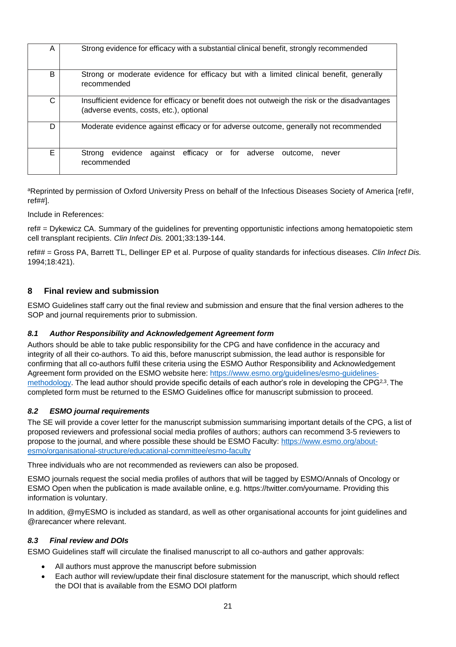| A | Strong evidence for efficacy with a substantial clinical benefit, strongly recommended                                                   |  |  |  |  |  |
|---|------------------------------------------------------------------------------------------------------------------------------------------|--|--|--|--|--|
| B | Strong or moderate evidence for efficacy but with a limited clinical benefit, generally<br>recommended                                   |  |  |  |  |  |
| C | Insufficient evidence for efficacy or benefit does not outweigh the risk or the disadvantages<br>(adverse events, costs, etc.), optional |  |  |  |  |  |
| D | Moderate evidence against efficacy or for adverse outcome, generally not recommended                                                     |  |  |  |  |  |
| Е | evidence<br>efficacy or for adverse outcome,<br>against<br>Strong<br>never<br>recommended                                                |  |  |  |  |  |

aReprinted by permission of Oxford University Press on behalf of the Infectious Diseases Society of America [ref#, ref##].

Include in References:

ref# = Dykewicz CA. Summary of the guidelines for preventing opportunistic infections among hematopoietic stem cell transplant recipients. *Clin Infect Dis.* 2001;33:139-144.

ref## = Gross PA, Barrett TL, Dellinger EP et al. Purpose of quality standards for infectious diseases. *Clin Infect Dis.* 1994;18:421).

#### <span id="page-20-0"></span>**8 Final review and submission**

ESMO Guidelines staff carry out the final review and submission and ensure that the final version adheres to the SOP and journal requirements prior to submission.

#### <span id="page-20-1"></span>*8.1 Author Responsibility and Acknowledgement Agreement form*

Authors should be able to take public responsibility for the CPG and have confidence in the accuracy and integrity of all their co-authors. To aid this, before manuscript submission, the lead author is responsible for confirming that all co-authors fulfil these criteria using the ESMO Author Responsibility and Acknowledgement Agreement form provided on the ESMO website here: [https://www.esmo.org/guidelines/esmo-guidelines](https://www.esmo.org/guidelines/esmo-guidelines-methodology)[methodology.](https://www.esmo.org/guidelines/esmo-guidelines-methodology) The lead author should provide specific details of each author's role in developing the CPG<sup>2,3</sup>. The completed form must be returned to the ESMO Guidelines office for manuscript submission to proceed.

#### <span id="page-20-2"></span>*8.2 ESMO journal requirements*

The SE will provide a cover letter for the manuscript submission summarising important details of the CPG, a list of proposed reviewers and professional social media profiles of authors; authors can recommend 3-5 reviewers to propose to the journal, and where possible these should be ESMO Faculty: [https://www.esmo.org/about](https://www.esmo.org/about-esmo/organisational-structure/educational-committee/esmo-faculty)[esmo/organisational-structure/educational-committee/esmo-faculty](https://www.esmo.org/about-esmo/organisational-structure/educational-committee/esmo-faculty)

Three individuals who are not recommended as reviewers can also be proposed.

ESMO journals request the social media profiles of authors that will be tagged by ESMO/Annals of Oncology or ESMO Open when the publication is made available online, e.g. https://twitter.com/yourname. Providing this information is voluntary.

In addition, @myESMO is included as standard, as well as other organisational accounts for joint guidelines and @rarecancer where relevant.

#### <span id="page-20-3"></span>*8.3 Final review and DOIs*

ESMO Guidelines staff will circulate the finalised manuscript to all co-authors and gather approvals:

- All authors must approve the manuscript before submission
- Each author will review/update their final disclosure statement for the manuscript, which should reflect the DOI that is available from the ESMO DOI platform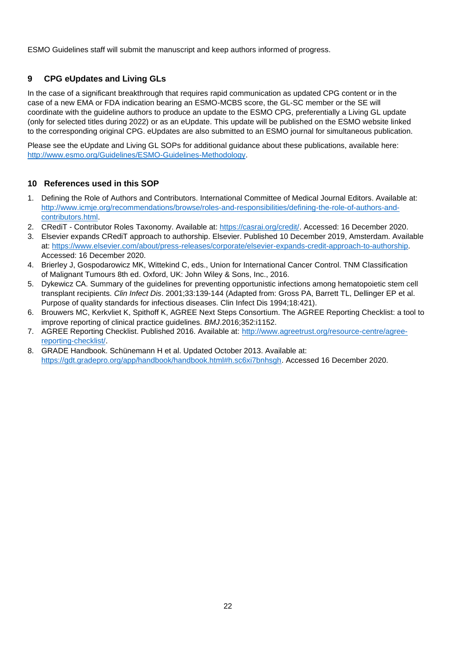ESMO Guidelines staff will submit the manuscript and keep authors informed of progress.

# <span id="page-21-0"></span>**9 CPG eUpdates and Living GLs**

In the case of a significant breakthrough that requires rapid communication as updated CPG content or in the case of a new EMA or FDA indication bearing an ESMO-MCBS score, the GL-SC member or the SE will coordinate with the guideline authors to produce an update to the ESMO CPG, preferentially a Living GL update (only for selected titles during 2022) or as an eUpdate. This update will be published on the ESMO website linked to the corresponding original CPG. eUpdates are also submitted to an ESMO journal for simultaneous publication.

Please see the eUpdate and Living GL SOPs for additional guidance about these publications, available here: [http://www.esmo.org/Guidelines/ESMO-Guidelines-Methodology.](http://www.esmo.org/Guidelines/ESMO-Guidelines-Methodology)

## <span id="page-21-1"></span>**10 References used in this SOP**

- 1. Defining the Role of Authors and Contributors. International Committee of Medical Journal Editors. Available at: [http://www.icmje.org/recommendations/browse/roles-and-responsibilities/defining-the-role-of-authors-and](http://www.icmje.org/recommendations/browse/roles-and-responsibilities/defining-the-role-of-authors-and-contributors.html)[contributors.html.](http://www.icmje.org/recommendations/browse/roles-and-responsibilities/defining-the-role-of-authors-and-contributors.html)
- 2. CRediT Contributor Roles Taxonomy. Available at: [https://casrai.org/credit/.](https://casrai.org/credit/) Accessed: 16 December 2020.
- 3. Elsevier expands CRediT approach to authorship. Elsevier. Published 10 December 2019, Amsterdam. Available at: [https://www.elsevier.com/about/press-releases/corporate/elsevier-expands-credit-approach-to-authorship.](https://www.elsevier.com/about/press-releases/corporate/elsevier-expands-credit-approach-to-authorship) Accessed: 16 December 2020.
- 4. Brierley J, Gospodarowicz MK, Wittekind C, eds., Union for International Cancer Control. TNM Classification of Malignant Tumours 8th ed. Oxford, UK: John Wiley & Sons, Inc., 2016.
- 5. Dykewicz CA. Summary of the guidelines for preventing opportunistic infections among hematopoietic stem cell transplant recipients. *Clin Infect Dis*. 2001;33:139-144 (Adapted from: Gross PA, Barrett TL, Dellinger EP et al. Purpose of quality standards for infectious diseases. Clin Infect Dis 1994;18:421).
- 6. Brouwers MC, Kerkvliet K, Spithoff K, AGREE Next Steps Consortium. The AGREE Reporting Checklist: a tool to improve reporting of clinical practice guidelines. *BMJ*.2016;352:i1152.
- 7. AGREE Reporting Checklist. Published 2016. Available at: [http://www.agreetrust.org/resource-centre/agree](http://www.agreetrust.org/resource-centre/agree-reporting-checklist/)[reporting-checklist/.](http://www.agreetrust.org/resource-centre/agree-reporting-checklist/)
- 8. GRADE Handbook. Schünemann H et al. Updated October 2013. Available at: [https://gdt.gradepro.org/app/handbook/handbook.html#h.sc6xi7bnhsgh.](https://gdt.gradepro.org/app/handbook/handbook.html#h.sc6xi7bnhsgh) Accessed 16 December 2020.